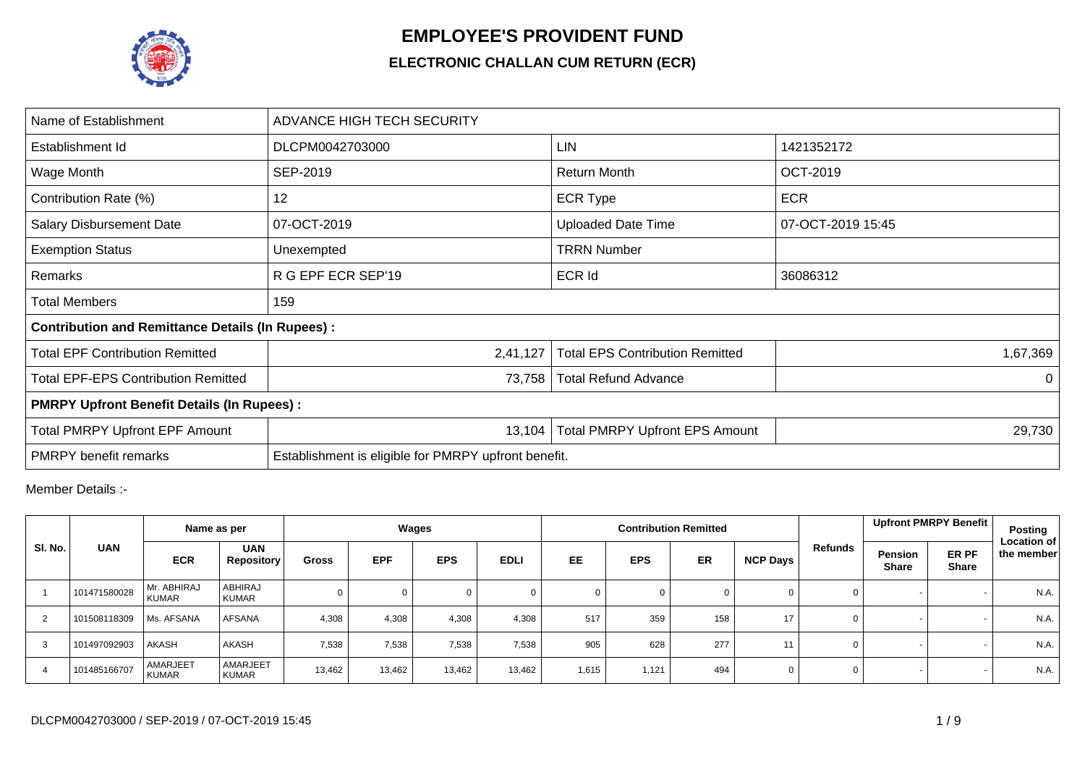

## **EMPLOYEE'S PROVIDENT FUND**

## **ELECTRONIC CHALLAN CUM RETURN (ECR)**

| Name of Establishment                                   | ADVANCE HIGH TECH SECURITY                           |                                                 |                   |  |  |  |  |  |  |  |  |
|---------------------------------------------------------|------------------------------------------------------|-------------------------------------------------|-------------------|--|--|--|--|--|--|--|--|
| Establishment Id                                        | DLCPM0042703000                                      | LIN                                             | 1421352172        |  |  |  |  |  |  |  |  |
| Wage Month                                              | SEP-2019                                             | <b>Return Month</b>                             | <b>OCT-2019</b>   |  |  |  |  |  |  |  |  |
| Contribution Rate (%)                                   | 12                                                   | <b>ECR Type</b>                                 | <b>ECR</b>        |  |  |  |  |  |  |  |  |
| <b>Salary Disbursement Date</b>                         | 07-OCT-2019                                          | <b>Uploaded Date Time</b>                       | 07-OCT-2019 15:45 |  |  |  |  |  |  |  |  |
| <b>Exemption Status</b>                                 | Unexempted                                           | <b>TRRN Number</b>                              |                   |  |  |  |  |  |  |  |  |
| Remarks                                                 | R G EPF ECR SEP'19                                   | <b>ECR Id</b>                                   | 36086312          |  |  |  |  |  |  |  |  |
| <b>Total Members</b>                                    | 159                                                  |                                                 |                   |  |  |  |  |  |  |  |  |
| <b>Contribution and Remittance Details (In Rupees):</b> |                                                      |                                                 |                   |  |  |  |  |  |  |  |  |
| <b>Total EPF Contribution Remitted</b>                  | 2,41,127                                             | <b>Total EPS Contribution Remitted</b>          | 1,67,369          |  |  |  |  |  |  |  |  |
| <b>Total EPF-EPS Contribution Remitted</b>              | 73,758                                               | <b>Total Refund Advance</b>                     | $\Omega$          |  |  |  |  |  |  |  |  |
| <b>PMRPY Upfront Benefit Details (In Rupees):</b>       |                                                      |                                                 |                   |  |  |  |  |  |  |  |  |
| <b>Total PMRPY Upfront EPF Amount</b>                   | 13,104                                               | <b>Total PMRPY Upfront EPS Amount</b><br>29,730 |                   |  |  |  |  |  |  |  |  |
| <b>PMRPY</b> benefit remarks                            | Establishment is eligible for PMRPY upfront benefit. |                                                 |                   |  |  |  |  |  |  |  |  |

Member Details :-

|                |              | Name as per                 |                                 |              |            | Wages      |             |       |            | <b>Contribution Remitted</b> |                 |         |                         | Upfront PMRPY Benefit | Posting                          |
|----------------|--------------|-----------------------------|---------------------------------|--------------|------------|------------|-------------|-------|------------|------------------------------|-----------------|---------|-------------------------|-----------------------|----------------------------------|
| SI. No.        | <b>UAN</b>   | <b>ECR</b>                  | <b>UAN</b><br><b>Repository</b> | <b>Gross</b> | <b>EPF</b> | <b>EPS</b> | <b>EDLI</b> | EE    | <b>EPS</b> | <b>ER</b>                    | <b>NCP Days</b> | Refunds | Pension<br><b>Share</b> | ER PF<br><b>Share</b> | <b>Location of</b><br>the member |
|                | 101471580028 | Mr. ABHIRAJ<br><b>KUMAR</b> | ABHIRAJ<br><b>KUMAR</b>         |              |            |            |             |       | $\Omega$   |                              | $\Omega$        | 0       |                         |                       | N.A.                             |
| 2              | 101508118309 | Ms. AFSANA                  | <b>AFSANA</b>                   | 4,308        | 4,308      | 4,308      | 4,308       | 517   | 359        | 158                          | 17              | 0       |                         |                       | N.A.                             |
| 3              | 101497092903 | AKASH                       | AKASH                           | 7,538        | 7,538      | 7,538      | 7,538       | 905   | 628        | 277                          | 11              | 0       |                         |                       | N.A.                             |
| $\overline{4}$ | 101485166707 | AMARJEET<br><b>KUMAR</b>    | AMARJEET<br><b>KUMAR</b>        | 13,462       | 13,462     | 13,462     | 13,462      | 1,615 | 1.121      | 494                          | 0               | 0       |                         |                       | N.A.                             |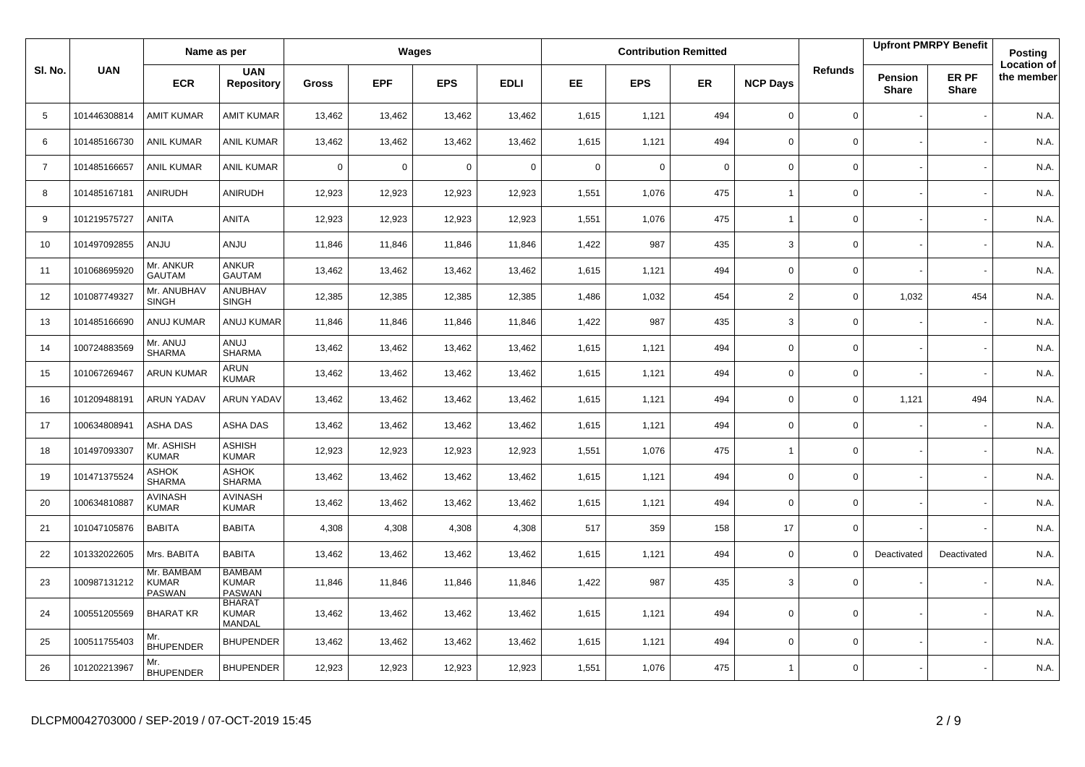|                |              | Name as per                                 |                                                |             |             | Wages      |             |             |             | <b>Contribution Remitted</b> |                 |                |                                | <b>Upfront PMRPY Benefit</b> | Posting                          |
|----------------|--------------|---------------------------------------------|------------------------------------------------|-------------|-------------|------------|-------------|-------------|-------------|------------------------------|-----------------|----------------|--------------------------------|------------------------------|----------------------------------|
| SI. No.        | <b>UAN</b>   | <b>ECR</b>                                  | <b>UAN</b><br><b>Repository</b>                | Gross       | <b>EPF</b>  | <b>EPS</b> | <b>EDLI</b> | <b>EE</b>   | <b>EPS</b>  | <b>ER</b>                    | <b>NCP Days</b> | <b>Refunds</b> | <b>Pension</b><br><b>Share</b> | ER PF<br><b>Share</b>        | <b>Location of</b><br>the member |
| 5              | 101446308814 | <b>AMIT KUMAR</b>                           | <b>AMIT KUMAR</b>                              | 13,462      | 13,462      | 13,462     | 13,462      | 1,615       | 1,121       | 494                          | $\mathbf 0$     | $\mathbf{0}$   |                                |                              | N.A.                             |
| 6              | 101485166730 | <b>ANIL KUMAR</b>                           | <b>ANIL KUMAR</b>                              | 13,462      | 13,462      | 13,462     | 13,462      | 1,615       | 1,121       | 494                          | $\mathbf 0$     | 0              |                                |                              | N.A.                             |
| $\overline{7}$ | 101485166657 | <b>ANIL KUMAR</b>                           | <b>ANIL KUMAR</b>                              | $\mathbf 0$ | $\mathbf 0$ | 0          | $\mathbf 0$ | $\mathbf 0$ | $\mathbf 0$ | $\mathbf 0$                  | $\mathbf 0$     | 0              |                                |                              | N.A.                             |
| 8              | 101485167181 | ANIRUDH                                     | ANIRUDH                                        | 12,923      | 12,923      | 12,923     | 12,923      | 1,551       | 1,076       | 475                          | $\overline{1}$  | 0              |                                |                              | N.A.                             |
| 9              | 101219575727 | <b>ANITA</b>                                | ANITA                                          | 12,923      | 12,923      | 12,923     | 12,923      | 1,551       | 1,076       | 475                          | $\overline{1}$  | 0              |                                |                              | N.A.                             |
| 10             | 101497092855 | <b>ANJU</b>                                 | <b>ULIAN</b>                                   | 11,846      | 11,846      | 11,846     | 11,846      | 1,422       | 987         | 435                          | 3               | 0              |                                |                              | N.A.                             |
| 11             | 101068695920 | Mr. ANKUR<br><b>GAUTAM</b>                  | ANKUR<br>GAUTAM                                | 13,462      | 13,462      | 13,462     | 13,462      | 1,615       | 1,121       | 494                          | $\mathbf 0$     | 0              |                                |                              | N.A.                             |
| 12             | 101087749327 | Mr. ANUBHAV<br><b>SINGH</b>                 | ANUBHAV<br><b>SINGH</b>                        | 12,385      | 12,385      | 12,385     | 12,385      | 1,486       | 1.032       | 454                          | $\overline{2}$  | 0              | 1,032                          | 454                          | N.A.                             |
| 13             | 101485166690 | ANUJ KUMAR                                  | ANUJ KUMAR                                     | 11,846      | 11,846      | 11,846     | 11,846      | 1,422       | 987         | 435                          | 3               | 0              |                                |                              | N.A.                             |
| 14             | 100724883569 | Mr. ANUJ<br><b>SHARMA</b>                   | LUIA<br><b>SHARMA</b>                          | 13,462      | 13,462      | 13,462     | 13,462      | 1,615       | 1.121       | 494                          | $\mathbf 0$     | 0              |                                |                              | N.A.                             |
| 15             | 101067269467 | <b>ARUN KUMAR</b>                           | ARUN<br><b>KUMAR</b>                           | 13,462      | 13,462      | 13,462     | 13,462      | 1,615       | 1,121       | 494                          | $\mathsf 0$     | 0              |                                |                              | N.A.                             |
| 16             | 101209488191 | <b>ARUN YADAV</b>                           | <b>ARUN YADAV</b>                              | 13,462      | 13,462      | 13,462     | 13,462      | 1,615       | 1,121       | 494                          | $\mathbf 0$     | 0              | 1,121                          | 494                          | N.A.                             |
| 17             | 100634808941 | ASHA DAS                                    | ASHA DAS                                       | 13,462      | 13,462      | 13,462     | 13,462      | 1,615       | 1,121       | 494                          | $\mathbf 0$     | 0              |                                |                              | N.A.                             |
| 18             | 101497093307 | Mr. ASHISH<br><b>KUMAR</b>                  | <b>ASHISH</b><br><b>KUMAR</b>                  | 12,923      | 12,923      | 12,923     | 12,923      | 1,551       | 1,076       | 475                          | $\overline{1}$  | $\mathbf 0$    |                                |                              | N.A.                             |
| 19             | 101471375524 | ASHOK<br><b>SHARMA</b>                      | ASHOK<br><b>SHARMA</b>                         | 13,462      | 13,462      | 13,462     | 13,462      | 1,615       | 1,121       | 494                          | $\mathbf 0$     | 0              |                                |                              | N.A.                             |
| 20             | 100634810887 | <b>AVINASH</b><br><b>KUMAR</b>              | <b>AVINASH</b><br><b>KUMAR</b>                 | 13,462      | 13,462      | 13,462     | 13,462      | 1,615       | 1,121       | 494                          | $\mathbf 0$     | $\mathbf 0$    |                                |                              | N.A.                             |
| 21             | 101047105876 | <b>BABITA</b>                               | <b>BABITA</b>                                  | 4,308       | 4,308       | 4,308      | 4,308       | 517         | 359         | 158                          | 17              | 0              |                                |                              | N.A.                             |
| 22             | 101332022605 | Mrs. BABITA                                 | <b>BABITA</b>                                  | 13,462      | 13,462      | 13,462     | 13,462      | 1,615       | 1,121       | 494                          | $\mathbf 0$     | 0              | Deactivated                    | Deactivated                  | N.A.                             |
| 23             | 100987131212 | Mr. BAMBAM<br><b>KUMAR</b><br><b>PASWAN</b> | <b>BAMBAM</b><br><b>KUMAR</b><br><b>PASWAN</b> | 11,846      | 11,846      | 11,846     | 11,846      | 1,422       | 987         | 435                          | 3               | 0              |                                |                              | N.A.                             |
| 24             | 100551205569 | <b>BHARAT KR</b>                            | <b>BHARAT</b><br><b>KUMAR</b><br>MANDAL        | 13,462      | 13,462      | 13,462     | 13,462      | 1,615       | 1,121       | 494                          | $\mathbf 0$     | 0              |                                |                              | N.A.                             |
| 25             | 100511755403 | Mr.<br><b>BHUPENDER</b>                     | <b>BHUPENDER</b>                               | 13,462      | 13,462      | 13,462     | 13,462      | 1,615       | 1,121       | 494                          | $\mathbf 0$     | 0              |                                |                              | N.A.                             |
| 26             | 101202213967 | Mr.<br><b>BHUPENDER</b>                     | <b>BHUPENDER</b>                               | 12,923      | 12,923      | 12,923     | 12,923      | 1,551       | 1,076       | 475                          | $\overline{1}$  | $\mathbf 0$    |                                |                              | N.A.                             |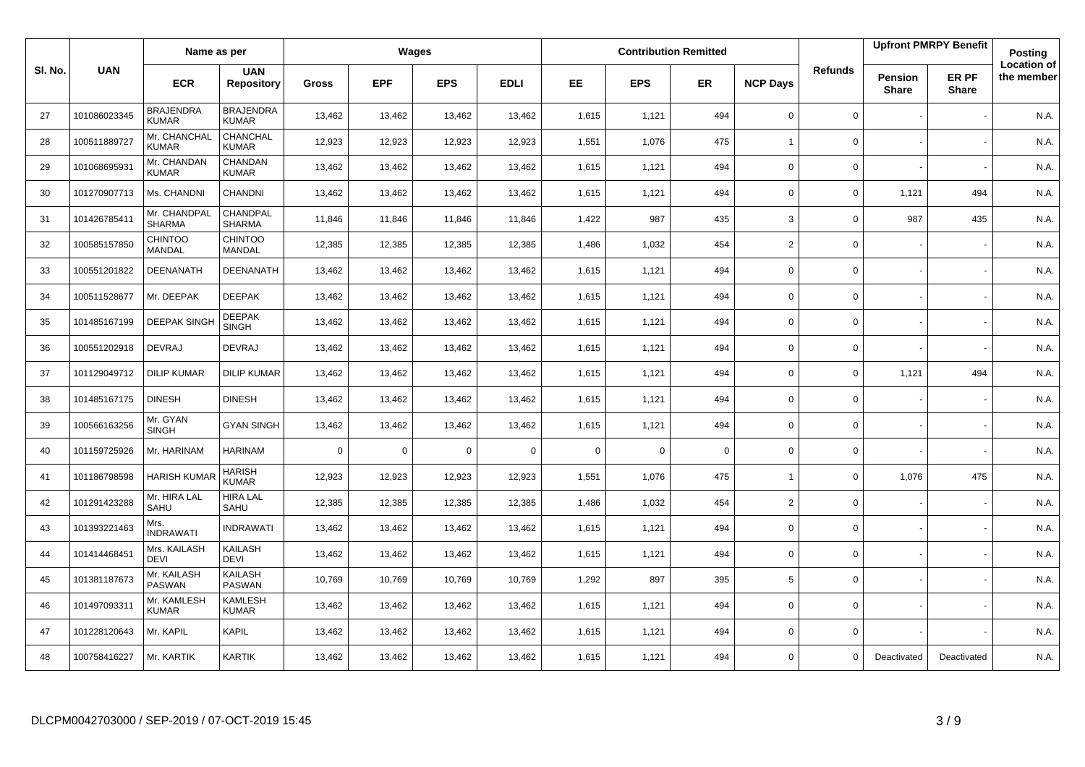|        |              | Name as per                      |                                  |              |             | Wages       |             |             |            | <b>Contribution Remitted</b> |                 |                |                         | <b>Upfront PMRPY Benefit</b> | Posting                          |
|--------|--------------|----------------------------------|----------------------------------|--------------|-------------|-------------|-------------|-------------|------------|------------------------------|-----------------|----------------|-------------------------|------------------------------|----------------------------------|
| SI. No | <b>UAN</b>   | <b>ECR</b>                       | <b>UAN</b><br><b>Repository</b>  | <b>Gross</b> | <b>EPF</b>  | <b>EPS</b>  | <b>EDLI</b> | <b>EE</b>   | <b>EPS</b> | <b>ER</b>                    | <b>NCP Days</b> | <b>Refunds</b> | Pension<br><b>Share</b> | ER PF<br><b>Share</b>        | <b>Location of</b><br>the member |
| 27     | 101086023345 | <b>BRAJENDRA</b><br><b>KUMAR</b> | <b>BRAJENDRA</b><br><b>KUMAR</b> | 13,462       | 13,462      | 13,462      | 13,462      | 1,615       | 1,121      | 494                          | $\mathbf 0$     | 0              |                         |                              | N.A.                             |
| 28     | 100511889727 | Mr. CHANCHAL<br><b>KUMAR</b>     | CHANCHAL<br><b>KUMAR</b>         | 12,923       | 12,923      | 12,923      | 12,923      | 1,551       | 1,076      | 475                          | $\overline{1}$  | 0              |                         |                              | N.A.                             |
| 29     | 101068695931 | Mr. CHANDAN<br><b>KUMAR</b>      | CHANDAN<br><b>KUMAR</b>          | 13,462       | 13,462      | 13,462      | 13,462      | 1,615       | 1,121      | 494                          | $\mathbf 0$     | 0              |                         |                              | N.A.                             |
| 30     | 101270907713 | Ms. CHANDNI                      | CHANDNI                          | 13,462       | 13,462      | 13,462      | 13,462      | 1,615       | 1,121      | 494                          | 0               | 0              | 1,121                   | 494                          | N.A.                             |
| 31     | 101426785411 | Mr. CHANDPAL<br><b>SHARMA</b>    | CHANDPAL<br><b>SHARMA</b>        | 11,846       | 11,846      | 11,846      | 11,846      | 1,422       | 987        | 435                          | 3               | $\mathbf 0$    | 987                     | 435                          | N.A.                             |
| 32     | 100585157850 | <b>CHINTOO</b><br><b>MANDAL</b>  | <b>CHINTOO</b><br><b>MANDAL</b>  | 12,385       | 12,385      | 12,385      | 12,385      | 1,486       | 1,032      | 454                          | $\overline{2}$  | 0              |                         |                              | N.A.                             |
| 33     | 100551201822 | DEENANATH                        | <b>DEENANATH</b>                 | 13,462       | 13,462      | 13,462      | 13,462      | 1,615       | 1,121      | 494                          | $\mathsf 0$     | 0              |                         |                              | N.A.                             |
| 34     | 100511528677 | Mr. DEEPAK                       | <b>DEEPAK</b>                    | 13,462       | 13,462      | 13,462      | 13,462      | 1,615       | 1,121      | 494                          | $\Omega$        | $\mathbf 0$    |                         |                              | N.A.                             |
| 35     | 101485167199 | <b>DEEPAK SINGH</b>              | <b>DEEPAK</b><br><b>SINGH</b>    | 13,462       | 13,462      | 13,462      | 13,462      | 1,615       | 1,121      | 494                          | $\mathbf 0$     | 0              |                         |                              | N.A.                             |
| 36     | 100551202918 | <b>DEVRAJ</b>                    | <b>DEVRAJ</b>                    | 13,462       | 13,462      | 13,462      | 13,462      | 1,615       | 1,121      | 494                          | $\mathbf 0$     | 0              |                         |                              | N.A.                             |
| 37     | 101129049712 | <b>DILIP KUMAR</b>               | <b>DILIP KUMAR</b>               | 13,462       | 13,462      | 13,462      | 13,462      | 1,615       | 1,121      | 494                          | $\mathbf 0$     | 0              | 1,121                   | 494                          | N.A.                             |
| 38     | 101485167175 | <b>DINESH</b>                    | <b>DINESH</b>                    | 13,462       | 13,462      | 13,462      | 13,462      | 1,615       | 1,121      | 494                          | $\mathbf 0$     | 0              |                         |                              | N.A.                             |
| 39     | 100566163256 | Mr. GYAN<br><b>SINGH</b>         | <b>GYAN SINGH</b>                | 13,462       | 13,462      | 13,462      | 13,462      | 1,615       | 1,121      | 494                          | $\mathsf 0$     | 0              |                         |                              | N.A.                             |
| 40     | 101159725926 | Mr. HARINAM                      | <b>HARINAM</b>                   | $\mathbf 0$  | $\mathbf 0$ | $\mathbf 0$ | $\mathbf 0$ | $\mathbf 0$ | $\Omega$   | $\mathbf 0$                  | $\mathbf 0$     | $\mathbf 0$    |                         |                              | N.A.                             |
| 41     | 101186798598 | <b>HARISH KUMA</b>               | HARISH<br><b>KUMAR</b>           | 12,923       | 12,923      | 12,923      | 12,923      | 1,551       | 1,076      | 475                          | $\mathbf{1}$    | $\mathbf 0$    | 1,076                   | 475                          | N.A.                             |
| 42     | 101291423288 | Mr. HIRA LAL<br>SAHU             | <b>HIRA LAL</b><br>SAHU          | 12,385       | 12,385      | 12,385      | 12,385      | 1,486       | 1,032      | 454                          | $\overline{2}$  | 0              |                         |                              | N.A.                             |
| 43     | 101393221463 | Mrs.<br><b>INDRAWATI</b>         | <b>INDRAWATI</b>                 | 13,462       | 13,462      | 13,462      | 13,462      | 1,615       | 1,121      | 494                          | $\mathbf 0$     | 0              |                         |                              | N.A.                             |
| 44     | 101414468451 | Mrs. KAILASH<br><b>DEVI</b>      | KAILASH<br><b>DEVI</b>           | 13,462       | 13,462      | 13,462      | 13,462      | 1,615       | 1,121      | 494                          | $\mathbf 0$     | 0              |                         |                              | N.A.                             |
| 45     | 101381187673 | Mr. KAILASH<br>PASWAN            | KAILASH<br><b>PASWAN</b>         | 10,769       | 10,769      | 10,769      | 10,769      | 1,292       | 897        | 395                          | 5               | 0              |                         |                              | N.A.                             |
| 46     | 101497093311 | Mr. KAMLESH<br><b>KUMAR</b>      | KAMLESH<br><b>KUMAR</b>          | 13,462       | 13,462      | 13,462      | 13,462      | 1,615       | 1,121      | 494                          | $\mathbf 0$     | $\mathbf{0}$   |                         |                              | N.A.                             |
| 47     | 101228120643 | Mr. KAPIL                        | KAPIL                            | 13,462       | 13,462      | 13,462      | 13,462      | 1,615       | 1,121      | 494                          | $\mathbf 0$     | 0              |                         |                              | N.A.                             |
| 48     | 100758416227 | Mr. KARTIK                       | KARTIK                           | 13,462       | 13,462      | 13,462      | 13,462      | 1,615       | 1,121      | 494                          | $\Omega$        | $\Omega$       | Deactivated             | Deactivated                  | N.A.                             |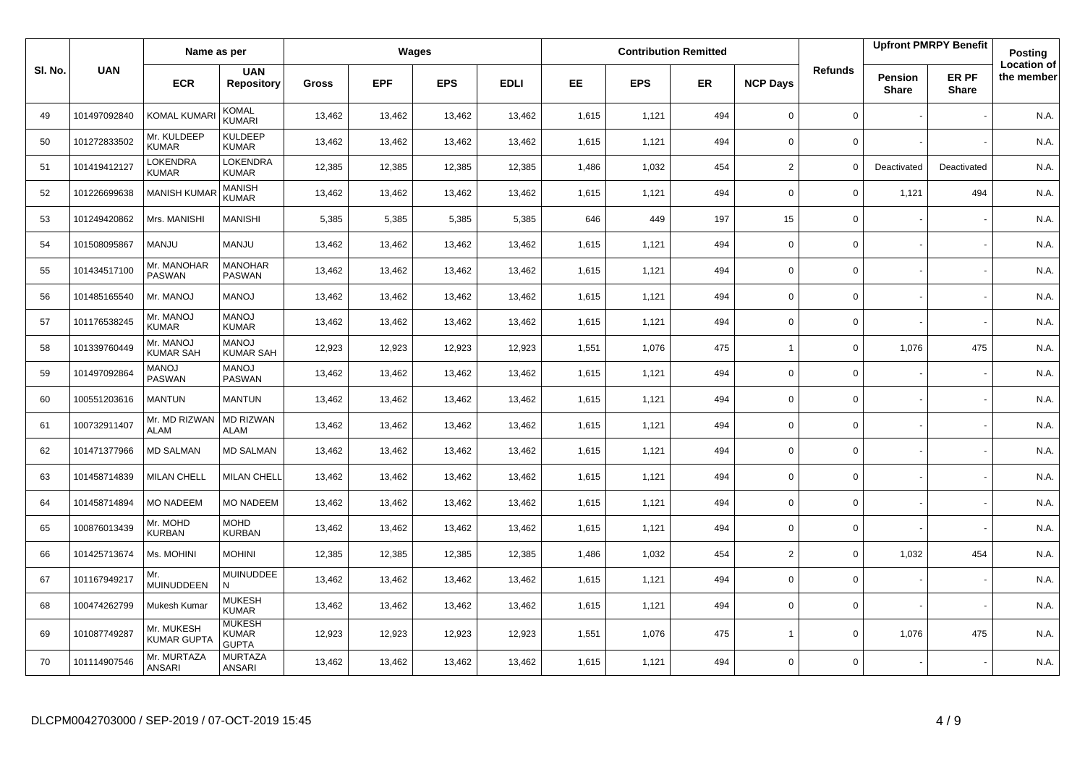|         |              | Name as per                      |                                               |              |            | Wages      |             |       |            | <b>Contribution Remitted</b> |                 |                |                         | <b>Upfront PMRPY Benefit</b> | Posting                          |
|---------|--------------|----------------------------------|-----------------------------------------------|--------------|------------|------------|-------------|-------|------------|------------------------------|-----------------|----------------|-------------------------|------------------------------|----------------------------------|
| SI. No. | <b>UAN</b>   | <b>ECR</b>                       | <b>UAN</b><br><b>Repository</b>               | <b>Gross</b> | <b>EPF</b> | <b>EPS</b> | <b>EDLI</b> | EE    | <b>EPS</b> | ER                           | <b>NCP Days</b> | <b>Refunds</b> | Pension<br><b>Share</b> | ER PF<br><b>Share</b>        | <b>Location of</b><br>the member |
| 49      | 101497092840 | KOMAL KUMAR                      | <b>KOMAL</b><br>KUMARI                        | 13,462       | 13,462     | 13,462     | 13,462      | 1,615 | 1,121      | 494                          | $\mathbf 0$     | 0              |                         |                              | N.A.                             |
| 50      | 101272833502 | Mr. KULDEEP<br><b>KUMAR</b>      | <b>KULDEEP</b><br><b>KUMAR</b>                | 13,462       | 13,462     | 13,462     | 13,462      | 1,615 | 1,121      | 494                          | $\mathbf 0$     | 0              |                         |                              | N.A.                             |
| 51      | 101419412127 | LOKENDRA<br><b>KUMAR</b>         | <b>LOKENDRA</b><br><b>KUMAR</b>               | 12,385       | 12,385     | 12,385     | 12,385      | 1,486 | 1,032      | 454                          | 2               | 0              | Deactivated             | Deactivated                  | N.A.                             |
| 52      | 101226699638 | <b>MANISH KUMA</b>               | <b>MANISH</b><br><b>KUMAR</b>                 | 13,462       | 13,462     | 13,462     | 13,462      | 1,615 | 1,121      | 494                          | $\mathbf 0$     | 0              | 1,121                   | 494                          | N.A.                             |
| 53      | 101249420862 | Mrs. MANISHI                     | <b>MANISHI</b>                                | 5,385        | 5,385      | 5,385      | 5,385       | 646   | 449        | 197                          | 15              | 0              |                         |                              | N.A.                             |
| 54      | 101508095867 | <b>MANJU</b>                     | <b>MANJU</b>                                  | 13,462       | 13,462     | 13,462     | 13,462      | 1,615 | 1,121      | 494                          | $\mathbf 0$     | 0              |                         |                              | N.A.                             |
| 55      | 101434517100 | Mr. MANOHAR<br><b>PASWAN</b>     | <b>MANOHAR</b><br><b>PASWAN</b>               | 13,462       | 13,462     | 13,462     | 13,462      | 1,615 | 1,121      | 494                          | $\mathbf 0$     | 0              |                         |                              | N.A.                             |
| 56      | 101485165540 | Mr. MANOJ                        | <b>LONAM</b>                                  | 13,462       | 13,462     | 13,462     | 13,462      | 1,615 | 1,121      | 494                          | $\mathbf 0$     | 0              |                         |                              | N.A.                             |
| 57      | 101176538245 | Mr. MANOJ<br><b>KUMAR</b>        | <b>MANOJ</b><br><b>KUMAR</b>                  | 13,462       | 13,462     | 13,462     | 13,462      | 1,615 | 1,121      | 494                          | $\mathbf 0$     | 0              |                         |                              | N.A.                             |
| 58      | 101339760449 | Mr. MANOJ<br><b>KUMAR SAH</b>    | <b>LONAM</b><br><b>KUMAR SAH</b>              | 12,923       | 12,923     | 12,923     | 12,923      | 1,551 | 1,076      | 475                          | $\overline{1}$  | 0              | 1,076                   | 475                          | N.A.                             |
| 59      | 101497092864 | <b>MANOJ</b><br>PASWAN           | <b>MANOJ</b><br><b>PASWAN</b>                 | 13,462       | 13,462     | 13,462     | 13,462      | 1,615 | 1,121      | 494                          | 0               | 0              |                         |                              | N.A.                             |
| 60      | 100551203616 | <b>MANTUN</b>                    | <b>MANTUN</b>                                 | 13,462       | 13,462     | 13,462     | 13,462      | 1,615 | 1,121      | 494                          | 0               | $\Omega$       |                         |                              | N.A.                             |
| 61      | 100732911407 | Mr. MD RIZWAN<br><b>ALAM</b>     | MD RIZWAN<br><b>ALAM</b>                      | 13,462       | 13,462     | 13,462     | 13,462      | 1,615 | 1,121      | 494                          | 0               | 0              |                         |                              | N.A.                             |
| 62      | 101471377966 | <b>MD SALMAN</b>                 | <b>MD SALMAN</b>                              | 13,462       | 13,462     | 13,462     | 13,462      | 1,615 | 1,121      | 494                          | 0               | 0              |                         |                              | N.A.                             |
| 63      | 101458714839 | <b>MILAN CHELL</b>               | <b>MILAN CHELL</b>                            | 13,462       | 13,462     | 13,462     | 13,462      | 1,615 | 1,121      | 494                          | 0               | 0              |                         |                              | N.A.                             |
| 64      | 101458714894 | <b>MO NADEEM</b>                 | <b>MO NADEEM</b>                              | 13,462       | 13,462     | 13,462     | 13,462      | 1,615 | 1,121      | 494                          | 0               | 0              |                         |                              | N.A.                             |
| 65      | 100876013439 | Mr. MOHD<br><b>KURBAN</b>        | <b>MOHD</b><br><b>KURBAN</b>                  | 13,462       | 13,462     | 13,462     | 13,462      | 1,615 | 1,121      | 494                          | $\Omega$        | 0              |                         |                              | N.A.                             |
| 66      | 101425713674 | Ms. MOHINI                       | <b>MOHINI</b>                                 | 12,385       | 12,385     | 12,385     | 12,385      | 1,486 | 1,032      | 454                          | 2               | 0              | 1,032                   | 454                          | N.A.                             |
| 67      | 101167949217 | Mr.<br>MUINUDDEEN                | <b>MUINUDDEE</b><br>N                         | 13,462       | 13,462     | 13,462     | 13,462      | 1,615 | 1,121      | 494                          | $\mathbf 0$     | 0              |                         |                              | N.A.                             |
| 68      | 100474262799 | Mukesh Kumar                     | <b>MUKESH</b><br><b>KUMAR</b>                 | 13,462       | 13,462     | 13,462     | 13,462      | 1,615 | 1,121      | 494                          | 0               | 0              |                         |                              | N.A.                             |
| 69      | 101087749287 | Mr. MUKESH<br><b>KUMAR GUPT/</b> | <b>MUKESH</b><br><b>KUMAR</b><br><b>GUPTA</b> | 12,923       | 12,923     | 12,923     | 12,923      | 1,551 | 1,076      | 475                          | $\overline{1}$  | $\mathbf 0$    | 1,076                   | 475                          | N.A.                             |
| 70      | 101114907546 | Mr. MURTAZA<br><b>ANSARI</b>     | <b>MURTAZA</b><br>ANSARI                      | 13,462       | 13,462     | 13,462     | 13,462      | 1,615 | 1,121      | 494                          | $\Omega$        | 0              |                         |                              | N.A.                             |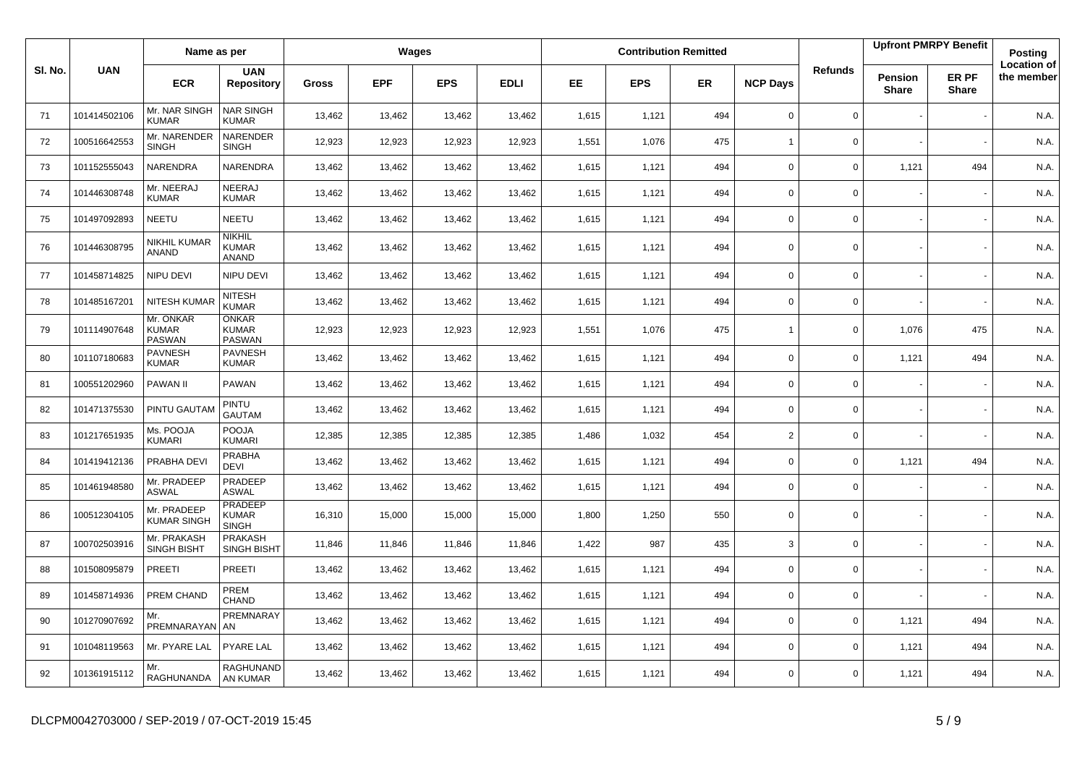|         |              | Name as per                                |                                                |              |            | Wages      |             |           |            | <b>Contribution Remitted</b> |                 |                |                                | <b>Upfront PMRPY Benefit</b> | <b>Posting</b>                   |
|---------|--------------|--------------------------------------------|------------------------------------------------|--------------|------------|------------|-------------|-----------|------------|------------------------------|-----------------|----------------|--------------------------------|------------------------------|----------------------------------|
| SI. No. | <b>UAN</b>   | <b>ECR</b>                                 | <b>UAN</b><br><b>Repository</b>                | <b>Gross</b> | <b>EPF</b> | <b>EPS</b> | <b>EDLI</b> | <b>EE</b> | <b>EPS</b> | <b>ER</b>                    | <b>NCP Days</b> | <b>Refunds</b> | <b>Pension</b><br><b>Share</b> | ER PF<br><b>Share</b>        | <b>Location of</b><br>the member |
| 71      | 101414502106 | Mr. NAR SINGH<br><b>KUMAR</b>              | <b>NAR SINGH</b><br>KUMAR                      | 13,462       | 13,462     | 13,462     | 13,462      | 1,615     | 1,121      | 494                          | $\mathbf 0$     | 0              |                                |                              | N.A.                             |
| 72      | 100516642553 | Mr. NARENDER<br><b>SINGH</b>               | <b>NARENDER</b><br><b>SINGH</b>                | 12,923       | 12,923     | 12,923     | 12,923      | 1,551     | 1,076      | 475                          | $\overline{1}$  | $\mathbf 0$    |                                |                              | N.A.                             |
| 73      | 101152555043 | NARENDRA                                   | NARENDRA                                       | 13,462       | 13,462     | 13,462     | 13,462      | 1,615     | 1,121      | 494                          | $\mathbf 0$     | 0              | 1,121                          | 494                          | N.A.                             |
| 74      | 101446308748 | Mr. NEERAJ<br><b>KUMAR</b>                 | NEERAJ<br><b>KUMAR</b>                         | 13,462       | 13,462     | 13,462     | 13,462      | 1,615     | 1,121      | 494                          | $\mathbf 0$     | $\mathbf{0}$   |                                |                              | N.A.                             |
| 75      | 101497092893 | NEETU                                      | NEETU                                          | 13,462       | 13,462     | 13,462     | 13,462      | 1,615     | 1,121      | 494                          | 0               | 0              |                                |                              | N.A.                             |
| 76      | 101446308795 | NIKHIL KUMAR<br><b>ANAND</b>               | NIKHIL<br>KUMAR<br><b>ANAND</b>                | 13,462       | 13,462     | 13,462     | 13,462      | 1,615     | 1,121      | 494                          | $\Omega$        | 0              |                                |                              | N.A.                             |
| 77      | 101458714825 | NIPU DEVI                                  | NIPU DEVI                                      | 13,462       | 13,462     | 13,462     | 13,462      | 1,615     | 1,121      | 494                          | 0               | 0              |                                |                              | N.A.                             |
| 78      | 101485167201 | NITESH KUMA                                | <b>NITESH</b><br><b>KUMAR</b>                  | 13,462       | 13,462     | 13,462     | 13,462      | 1,615     | 1,121      | 494                          | $\mathbf 0$     | 0              |                                |                              | N.A.                             |
| 79      | 101114907648 | Mr. ONKAR<br><b>KUMAR</b><br><b>PASWAN</b> | ONKAR<br><b>KUMAR</b><br><b>PASWAN</b>         | 12,923       | 12,923     | 12,923     | 12,923      | 1,551     | 1,076      | 475                          | $\mathbf{1}$    | 0              | 1,076                          | 475                          | N.A.                             |
| 80      | 101107180683 | <b>PAVNESH</b><br><b>KUMAR</b>             | <b>PAVNESH</b><br><b>KUMAR</b>                 | 13,462       | 13,462     | 13,462     | 13,462      | 1,615     | 1,121      | 494                          | $\mathbf 0$     | 0              | 1,121                          | 494                          | N.A.                             |
| 81      | 100551202960 | <b>PAWAN II</b>                            | <b>PAWAN</b>                                   | 13,462       | 13,462     | 13,462     | 13,462      | 1,615     | 1,121      | 494                          | $\mathbf 0$     | $\mathbf{0}$   |                                |                              | N.A.                             |
| 82      | 101471375530 | PINTU GAUTAN                               | PINTU<br><b>GAUTAM</b>                         | 13,462       | 13,462     | 13,462     | 13,462      | 1,615     | 1,121      | 494                          | 0               | 0              |                                |                              | N.A.                             |
| 83      | 101217651935 | Ms. POOJA<br><b>KUMARI</b>                 | POOJA<br><b>KUMARI</b>                         | 12,385       | 12,385     | 12,385     | 12,385      | 1,486     | 1,032      | 454                          | $\overline{2}$  | $\Omega$       |                                |                              | N.A.                             |
| 84      | 101419412136 | PRABHA DEVI                                | PRABHA<br><b>DEVI</b>                          | 13,462       | 13,462     | 13,462     | 13,462      | 1,615     | 1,121      | 494                          | $\mathbf 0$     | 0              | 1,121                          | 494                          | N.A.                             |
| 85      | 101461948580 | Mr. PRADEEP<br><b>ASWAL</b>                | PRADEEP<br><b>ASWAL</b>                        | 13,462       | 13,462     | 13,462     | 13,462      | 1,615     | 1,121      | 494                          | $\mathbf 0$     | 0              |                                |                              | N.A.                             |
| 86      | 100512304105 | Mr. PRADEEP<br><b>KUMAR SINGH</b>          | <b>PRADEEP</b><br><b>KUMAR</b><br><b>SINGH</b> | 16,310       | 15,000     | 15,000     | 15,000      | 1,800     | 1,250      | 550                          | $\mathbf 0$     | 0              |                                |                              | N.A.                             |
| 87      | 100702503916 | Mr. PRAKASH<br><b>SINGH BISHT</b>          | <b>PRAKASH</b><br><b>SINGH BISHT</b>           | 11,846       | 11,846     | 11,846     | 11,846      | 1,422     | 987        | 435                          | 3               | 0              |                                |                              | N.A.                             |
| 88      | 101508095879 | PREETI                                     | PREETI                                         | 13,462       | 13,462     | 13,462     | 13,462      | 1,615     | 1,121      | 494                          | $\Omega$        | 0              |                                |                              | N.A.                             |
| 89      | 101458714936 | PREM CHAND                                 | PREM<br>CHAND                                  | 13,462       | 13,462     | 13,462     | 13,462      | 1,615     | 1,121      | 494                          | $\Omega$        | $\mathbf 0$    |                                |                              | N.A.                             |
| 90      | 101270907692 | Mr.<br>PREMNARAYAN AN                      | PREMNARAY                                      | 13,462       | 13,462     | 13,462     | 13,462      | 1,615     | 1,121      | 494                          | $\Omega$        | 0              | 1,121                          | 494                          | N.A.                             |
| 91      | 101048119563 | Mr. PYARE LAL                              | <b>PYARE LAL</b>                               | 13,462       | 13,462     | 13,462     | 13,462      | 1,615     | 1,121      | 494                          | $\Omega$        | 0              | 1,121                          | 494                          | N.A.                             |
| 92      | 101361915112 | Mr.<br>RAGHUNANDA                          | RAGHUNAND<br>AN KUMAR                          | 13,462       | 13,462     | 13,462     | 13,462      | 1,615     | 1,121      | 494                          | $\Omega$        | 0              | 1,121                          | 494                          | N.A.                             |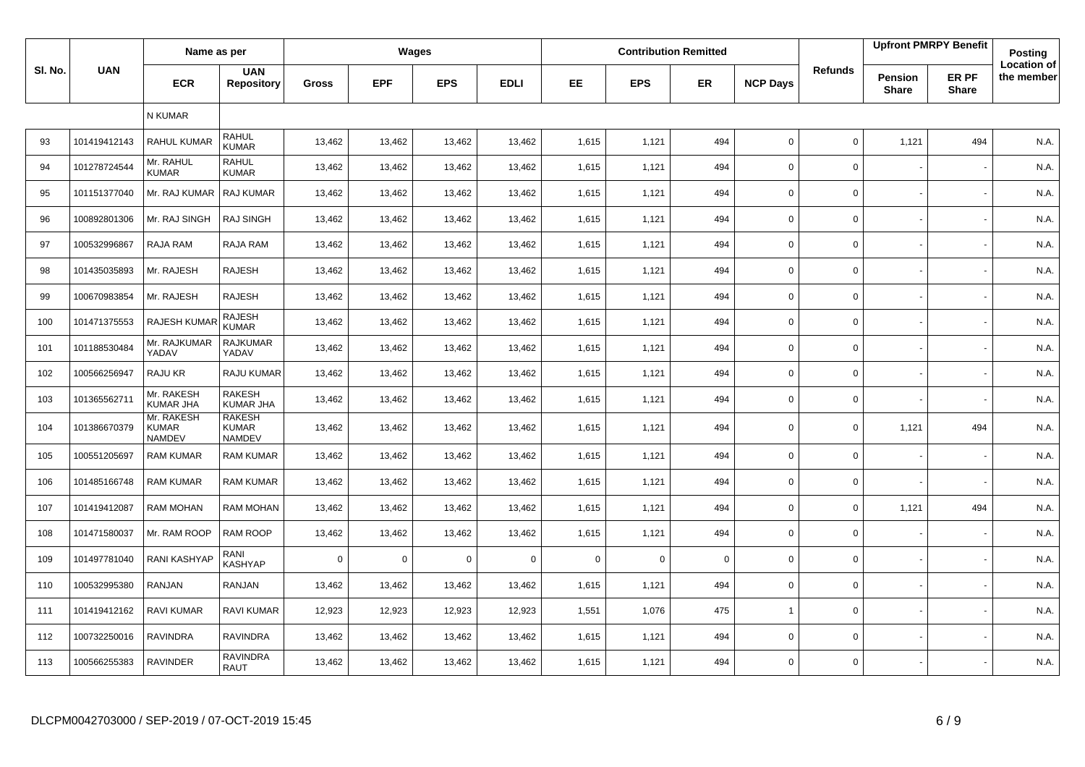|         |                          | Name as per                                 |                                                |              |            | Wages       |             |          |             | <b>Contribution Remitted</b> |                 |                |                         | <b>Upfront PMRPY Benefit</b> | Posting                          |
|---------|--------------------------|---------------------------------------------|------------------------------------------------|--------------|------------|-------------|-------------|----------|-------------|------------------------------|-----------------|----------------|-------------------------|------------------------------|----------------------------------|
| SI. No. | <b>UAN</b>               | <b>ECR</b>                                  | <b>UAN</b><br><b>Repository</b>                | <b>Gross</b> | <b>EPF</b> | <b>EPS</b>  | <b>EDLI</b> | EE.      | <b>EPS</b>  | <b>ER</b>                    | <b>NCP Days</b> | <b>Refunds</b> | Pension<br><b>Share</b> | ER PF<br><b>Share</b>        | <b>Location of</b><br>the member |
|         |                          | N KUMAR                                     |                                                |              |            |             |             |          |             |                              |                 |                |                         |                              |                                  |
| 93      | 101419412143             | <b>RAHUL KUMAR</b>                          | <b>RAHUL</b><br><b>KUMAR</b>                   | 13,462       | 13,462     | 13,462      | 13,462      | 1,615    | 1,121       | 494                          | $\mathbf 0$     | $\mathbf 0$    | 1,121                   | 494                          | N.A.                             |
| 94      | 101278724544             | Mr. RAHUL<br><b>KUMAR</b>                   | <b>RAHUL</b><br><b>KUMAR</b>                   | 13,462       | 13,462     | 13,462      | 13,462      | 1,615    | 1,121       | 494                          | $\mathbf 0$     | $\mathbf 0$    |                         |                              | N.A.                             |
| 95      | 101151377040             | Mr. RAJ KUMAR                               | RAJ KUMAR                                      | 13,462       | 13,462     | 13,462      | 13,462      | 1,615    | 1,121       | 494                          | $\mathbf 0$     | $\mathbf 0$    |                         |                              | N.A.                             |
| 96      | 100892801306             | Mr. RAJ SINGH                               | <b>RAJ SINGH</b>                               | 13,462       | 13,462     | 13,462      | 13,462      | 1,615    | 1,121       | 494                          | $\mathbf 0$     | $\mathsf 0$    |                         |                              | N.A.                             |
| 97      | 100532996867             | RAJA RAM                                    | RAJA RAM                                       | 13,462       | 13,462     | 13,462      | 13,462      | 1,615    | 1,121       | 494                          | $\mathsf{O}$    | $\mathbf 0$    |                         |                              | N.A.                             |
| 98      | 101435035893             | Mr. RAJESH                                  | <b>RAJESH</b>                                  | 13,462       | 13,462     | 13,462      | 13,462      | 1,615    | 1,121       | 494                          | $\mathbf 0$     | $\mathsf 0$    |                         |                              | N.A.                             |
| 99      | 100670983854             | Mr. RAJESH                                  | <b>RAJESH</b>                                  | 13,462       | 13,462     | 13,462      | 13,462      | 1,615    | 1,121       | 494                          | $\mathbf 0$     | $\mathbf 0$    |                         |                              | N.A.                             |
| 100     | 101471375553             | RAJESH KUMAI                                | <b>RAJESH</b><br><b>KUMAR</b>                  | 13,462       | 13,462     | 13,462      | 13,462      | 1,615    | 1,121       | 494                          | $\mathbf 0$     | $\mathsf 0$    |                         |                              | N.A.                             |
| 101     | 101188530484             | Mr. RAJKUMAR<br>YADAV                       | <b>RAJKUMAR</b><br>YADAV                       | 13,462       | 13,462     | 13,462      | 13,462      | 1,615    | 1,121       | 494                          | $\mathbf 0$     | $\mathsf 0$    |                         |                              | N.A.                             |
| 102     | 100566256947             | RAJU KR                                     | RAJU KUMAR                                     | 13,462       | 13,462     | 13,462      | 13,462      | 1,615    | 1,121       | 494                          | $\mathsf{O}$    | $\mathsf 0$    |                         |                              | N.A.                             |
| 103     | 10136556271 <sup>-</sup> | Mr. RAKESH<br><b>KUMAR JHA</b>              | <b>RAKESH</b><br>KUMAR JHA                     | 13,462       | 13,462     | 13,462      | 13,462      | 1,615    | 1,121       | 494                          | $\mathbf 0$     | $\mathsf 0$    |                         |                              | N.A.                             |
| 104     | 101386670379             | Mr. RAKESH<br><b>KUMAR</b><br><b>NAMDEV</b> | <b>RAKESH</b><br><b>KUMAR</b><br><b>NAMDEV</b> | 13,462       | 13,462     | 13,462      | 13,462      | 1,615    | 1,121       | 494                          | $\mathsf{O}$    | $\mathbf 0$    | 1,121                   | 494                          | N.A.                             |
| 105     | 100551205697             | <b>RAM KUMAR</b>                            | RAM KUMAR                                      | 13,462       | 13,462     | 13,462      | 13,462      | 1,615    | 1,121       | 494                          | $\mathbf 0$     | $\mathbf 0$    |                         |                              | N.A.                             |
| 106     | 101485166748             | <b>RAM KUMAR</b>                            | <b>RAM KUMAR</b>                               | 13,462       | 13,462     | 13,462      | 13,462      | 1,615    | 1,121       | 494                          | $\mathbf 0$     | $\mathbf 0$    |                         |                              | N.A.                             |
| 107     | 101419412087             | <b>RAM MOHAN</b>                            | <b>RAM MOHAN</b>                               | 13,462       | 13,462     | 13,462      | 13,462      | 1,615    | 1,121       | 494                          | $\mathbf 0$     | 0              | 1,121                   | 494                          | N.A.                             |
| 108     | 101471580037             | Mr. RAM ROOP                                | RAM ROOP                                       | 13,462       | 13,462     | 13,462      | 13,462      | 1,615    | 1,121       | 494                          | $\mathbf 0$     | $\mathbf 0$    |                         |                              | N.A.                             |
| 109     | 101497781040             | <b>RANI KASHYAP</b>                         | RANI<br><b>KASHYAP</b>                         | $\mathbf 0$  | $\Omega$   | $\mathbf 0$ | $\mathbf 0$ | $\Omega$ | $\mathbf 0$ | $\Omega$                     | $\mathbf 0$     | $\mathbf 0$    |                         |                              | N.A.                             |
| 110     | 100532995380             | RANJAN                                      | RANJAN                                         | 13,462       | 13,462     | 13,462      | 13,462      | 1,615    | 1,121       | 494                          | $\mathbf 0$     | $\mathbf 0$    |                         |                              | N.A.                             |
| 111     | 101419412162             | RAVI KUMAR                                  | <b>RAVI KUMAR</b>                              | 12,923       | 12,923     | 12,923      | 12,923      | 1,551    | 1,076       | 475                          | $\overline{1}$  | $\mathbf 0$    |                         |                              | N.A.                             |
| 112     | 100732250016             | <b>RAVINDRA</b>                             | <b>RAVINDRA</b>                                | 13,462       | 13,462     | 13,462      | 13,462      | 1,615    | 1,121       | 494                          | $\mathbf 0$     | $\mathbf 0$    |                         |                              | N.A.                             |
| 113     | 100566255383             | <b>RAVINDER</b>                             | <b>RAVINDRA</b><br>RAUT                        | 13,462       | 13,462     | 13,462      | 13,462      | 1,615    | 1,121       | 494                          | $\mathbf 0$     | $\mathbf 0$    |                         |                              | N.A.                             |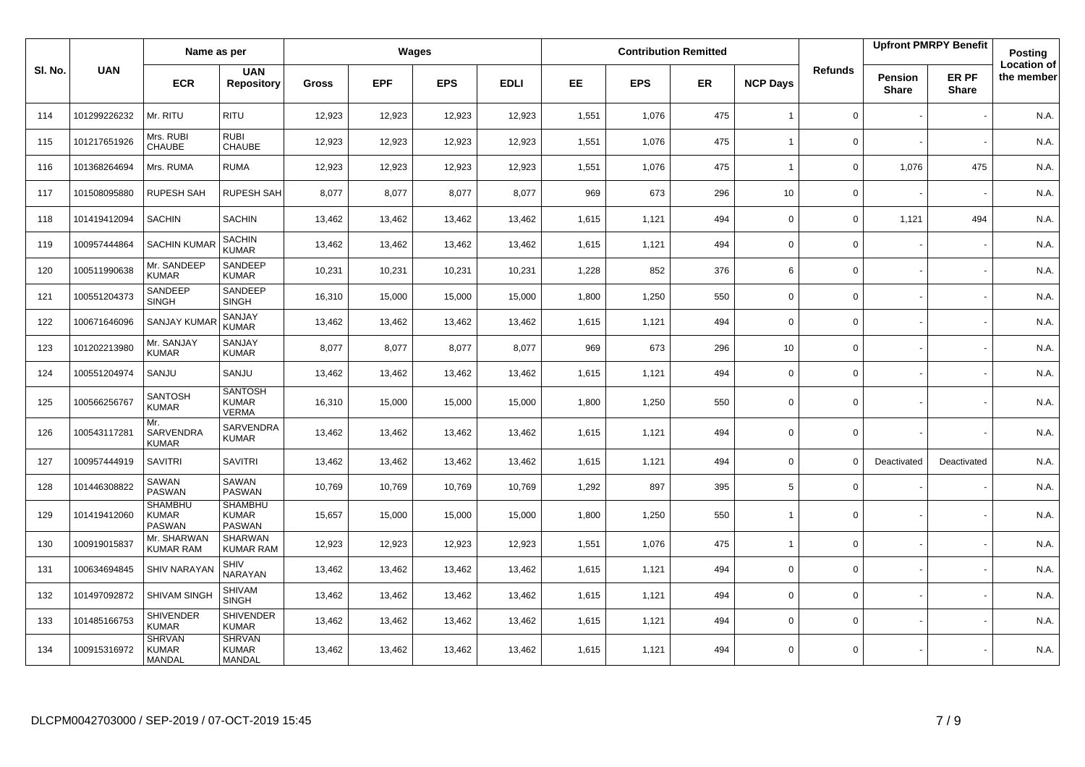|         |              | Name as per                                     |                                                 |        |            | Wages      |             |       |            | <b>Contribution Remitted</b> |                 |                |                         | <b>Upfront PMRPY Benefit</b> | Posting                          |
|---------|--------------|-------------------------------------------------|-------------------------------------------------|--------|------------|------------|-------------|-------|------------|------------------------------|-----------------|----------------|-------------------------|------------------------------|----------------------------------|
| SI. No. | <b>UAN</b>   | <b>ECR</b>                                      | <b>UAN</b><br><b>Repository</b>                 | Gross  | <b>EPF</b> | <b>EPS</b> | <b>EDLI</b> | EE.   | <b>EPS</b> | <b>ER</b>                    | <b>NCP Days</b> | <b>Refunds</b> | Pension<br><b>Share</b> | ER PF<br><b>Share</b>        | <b>Location of</b><br>the member |
| 114     | 101299226232 | Mr. RITU                                        | <b>RITU</b>                                     | 12,923 | 12,923     | 12,923     | 12,923      | 1,551 | 1,076      | 475                          | $\overline{1}$  | $\mathbf 0$    |                         |                              | N.A.                             |
| 115     | 101217651926 | Mrs. RUBI<br><b>CHAUBE</b>                      | <b>RUBI</b><br><b>CHAUBE</b>                    | 12,923 | 12,923     | 12,923     | 12,923      | 1,551 | 1,076      | 475                          | $\overline{1}$  | 0              |                         |                              | N.A.                             |
| 116     | 101368264694 | Mrs. RUMA                                       | <b>RUMA</b>                                     | 12,923 | 12,923     | 12,923     | 12,923      | 1,551 | 1,076      | 475                          | $\overline{1}$  | $\mathsf{O}$   | 1,076                   | 475                          | N.A.                             |
| 117     | 101508095880 | <b>RUPESH SAH</b>                               | <b>RUPESH SAH</b>                               | 8,077  | 8,077      | 8,077      | 8,077       | 969   | 673        | 296                          | 10              | $\mathsf{O}$   |                         |                              | N.A.                             |
| 118     | 101419412094 | <b>SACHIN</b>                                   | <b>SACHIN</b>                                   | 13,462 | 13,462     | 13,462     | 13,462      | 1,615 | 1,121      | 494                          | $\mathbf 0$     | 0              | 1,121                   | 494                          | N.A.                             |
| 119     | 100957444864 | <b>SACHIN KUMAR</b>                             | <b>SACHIN</b><br><b>KUMAR</b>                   | 13,462 | 13,462     | 13,462     | 13,462      | 1,615 | 1,121      | 494                          | $\mathbf 0$     | $\mathbf 0$    |                         |                              | N.A.                             |
| 120     | 100511990638 | Mr. SANDEEP<br><b>KUMAR</b>                     | SANDEEP<br><b>KUMAR</b>                         | 10,231 | 10,231     | 10,231     | 10,231      | 1,228 | 852        | 376                          | 6               | 0              |                         |                              | N.A.                             |
| 121     | 100551204373 | SANDEEP<br><b>SINGH</b>                         | SANDEEP<br><b>SINGH</b>                         | 16,310 | 15,000     | 15,000     | 15,000      | 1,800 | 1,250      | 550                          | $\mathbf 0$     | 0              |                         |                              | N.A.                             |
| 122     | 100671646096 | <b>SANJAY KUMA</b>                              | SANJAY<br><b>KUMAR</b>                          | 13,462 | 13,462     | 13,462     | 13,462      | 1,615 | 1,121      | 494                          | $\mathbf 0$     | 0              |                         |                              | N.A.                             |
| 123     | 101202213980 | Mr. SANJAY<br><b>KUMAR</b>                      | SANJAY<br><b>KUMAR</b>                          | 8,077  | 8,077      | 8,077      | 8,077       | 969   | 673        | 296                          | 10 <sup>1</sup> | $\mathbf{0}$   |                         |                              | N.A.                             |
| 124     | 100551204974 | SANJU                                           | SANJU                                           | 13,462 | 13,462     | 13,462     | 13,462      | 1,615 | 1,121      | 494                          | $\mathbf 0$     | 0              |                         |                              | N.A.                             |
| 125     | 100566256767 | <b>SANTOSH</b><br><b>KUMAR</b>                  | <b>SANTOSH</b><br><b>KUMAR</b><br><b>VERMA</b>  | 16,310 | 15,000     | 15,000     | 15,000      | 1,800 | 1,250      | 550                          | 0               | 0              |                         |                              | N.A.                             |
| 126     | 100543117281 | Mr.<br>SARVENDRA<br><b>KUMAR</b>                | SARVENDRA<br>KUMAR                              | 13,462 | 13,462     | 13,462     | 13,462      | 1,615 | 1,121      | 494                          | $\mathbf 0$     | 0              |                         |                              | N.A.                             |
| 127     | 100957444919 | <b>SAVITRI</b>                                  | <b>SAVITRI</b>                                  | 13,462 | 13,462     | 13,462     | 13,462      | 1,615 | 1,121      | 494                          | 0               | $\Omega$       | Deactivated             | Deactivated                  | N.A.                             |
| 128     | 101446308822 | SAWAN<br>PASWAN                                 | SAWAN<br><b>PASWAN</b>                          | 10,769 | 10,769     | 10,769     | 10,769      | 1,292 | 897        | 395                          | 5               | 0              |                         |                              | N.A.                             |
| 129     | 101419412060 | <b>SHAMBHU</b><br><b>KUMAR</b><br><b>PASWAN</b> | <b>SHAMBHU</b><br><b>KUMAR</b><br><b>PASWAN</b> | 15,657 | 15,000     | 15,000     | 15,000      | 1,800 | 1,250      | 550                          | $\overline{1}$  | $\mathbf{0}$   |                         |                              | N.A.                             |
| 130     | 100919015837 | Mr. SHARWAN<br><b>KUMAR RAM</b>                 | <b>SHARWAN</b><br><b>KUMAR RAM</b>              | 12,923 | 12,923     | 12,923     | 12,923      | 1,551 | 1,076      | 475                          | $\overline{1}$  | $\Omega$       |                         |                              | N.A.                             |
| 131     | 100634694845 | <b>SHIV NARAYAI</b>                             | SHIV<br>NARAYAN                                 | 13,462 | 13,462     | 13,462     | 13,462      | 1,615 | 1,121      | 494                          | $\mathbf 0$     | 0              |                         |                              | N.A.                             |
| 132     | 101497092872 | SHIVAM SINGH                                    | <b>SHIVAM</b><br><b>SINGH</b>                   | 13,462 | 13,462     | 13,462     | 13,462      | 1,615 | 1,121      | 494                          | $\mathbf 0$     | 0              |                         |                              | N.A.                             |
| 133     | 101485166753 | <b>SHIVENDER</b><br><b>KUMAR</b>                | SHIVENDER<br><b>KUMAR</b>                       | 13,462 | 13,462     | 13,462     | 13,462      | 1,615 | 1,121      | 494                          | $\mathbf 0$     | $\mathsf{O}$   |                         |                              | N.A.                             |
| 134     | 100915316972 | <b>SHRVAN</b><br><b>KUMAR</b><br><b>MANDAL</b>  | <b>SHRVAN</b><br><b>KUMAR</b><br>MANDAL         | 13,462 | 13,462     | 13,462     | 13,462      | 1,615 | 1,121      | 494                          | $\mathbf 0$     | $\mathbf{0}$   |                         |                              | N.A.                             |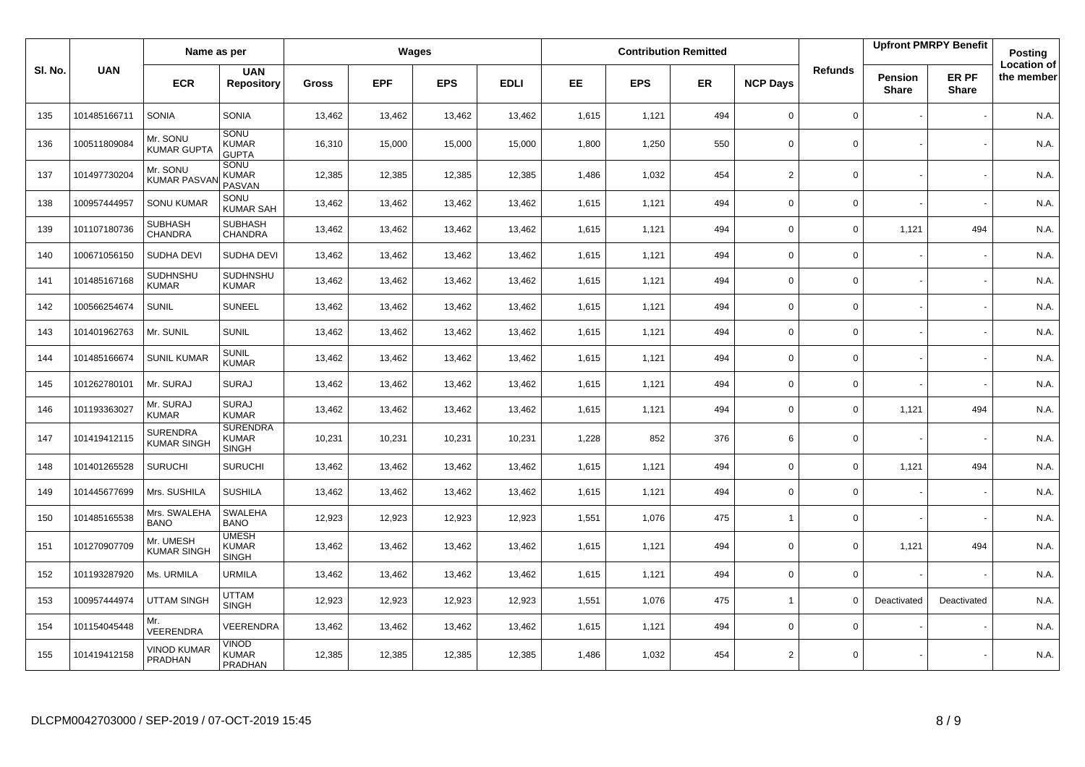|        |              | Name as per                           |                                                 |              |            | Wages      |             |           |            | <b>Contribution Remitted</b> |                          |                |                         | <b>Upfront PMRPY Benefit</b> | Posting                          |
|--------|--------------|---------------------------------------|-------------------------------------------------|--------------|------------|------------|-------------|-----------|------------|------------------------------|--------------------------|----------------|-------------------------|------------------------------|----------------------------------|
| SI. No | <b>UAN</b>   | <b>ECR</b>                            | <b>UAN</b><br><b>Repository</b>                 | <b>Gross</b> | <b>EPF</b> | <b>EPS</b> | <b>EDLI</b> | <b>EE</b> | <b>EPS</b> | <b>ER</b>                    | <b>NCP Days</b>          | <b>Refunds</b> | Pension<br><b>Share</b> | ER PF<br><b>Share</b>        | <b>Location of</b><br>the member |
| 135    | 101485166711 | <b>SONIA</b>                          | <b>SONIA</b>                                    | 13,462       | 13,462     | 13,462     | 13,462      | 1,615     | 1,121      | 494                          | $\mathbf 0$              | $\mathbf{0}$   |                         |                              | N.A.                             |
| 136    | 100511809084 | Mr. SONU<br><b>KUMAR GUPTA</b>        | SONU<br><b>KUMAR</b><br><b>GUPTA</b>            | 16,310       | 15,000     | 15,000     | 15,000      | 1,800     | 1,250      | 550                          | $\Omega$                 | $\mathbf 0$    |                         |                              | N.A.                             |
| 137    | 101497730204 | Mr. SONU<br><b>KUMAR PASVA</b>        | <b>SONU</b><br><b>KUMAR</b><br>PASVAN           | 12,385       | 12,385     | 12,385     | 12,385      | 1,486     | 1,032      | 454                          | $\overline{2}$           | $\Omega$       |                         |                              | N.A.                             |
| 138    | 100957444957 | <b>SONU KUMAR</b>                     | SONU<br><b>KUMAR SAH</b>                        | 13,462       | 13,462     | 13,462     | 13,462      | 1,615     | 1,121      | 494                          | $\mathbf 0$              | 0              |                         |                              | N.A.                             |
| 139    | 101107180736 | <b>SUBHASH</b><br>CHANDRA             | <b>SUBHASH</b><br><b>CHANDRA</b>                | 13,462       | 13,462     | 13,462     | 13,462      | 1,615     | 1,121      | 494                          | $\mathbf 0$              | 0              | 1,121                   | 494                          | N.A.                             |
| 140    | 100671056150 | <b>SUDHA DEVI</b>                     | <b>SUDHA DEVI</b>                               | 13,462       | 13,462     | 13,462     | 13,462      | 1,615     | 1,121      | 494                          | $\mathbf 0$              | 0              |                         |                              | N.A.                             |
| 141    | 101485167168 | SUDHNSHU<br><b>KUMAR</b>              | SUDHNSHU<br><b>KUMAR</b>                        | 13,462       | 13,462     | 13,462     | 13,462      | 1,615     | 1,121      | 494                          | $\mathbf 0$              | 0              |                         |                              | N.A.                             |
| 142    | 100566254674 | <b>SUNIL</b>                          | <b>SUNEEL</b>                                   | 13,462       | 13,462     | 13,462     | 13,462      | 1,615     | 1,121      | 494                          | $\mathbf 0$              | 0              |                         |                              | N.A.                             |
| 143    | 101401962763 | Mr. SUNIL                             | <b>SUNIL</b>                                    | 13,462       | 13,462     | 13,462     | 13,462      | 1,615     | 1,121      | 494                          | $\mathbf 0$              | $\mathbf 0$    |                         |                              | N.A.                             |
| 144    | 101485166674 | <b>SUNIL KUMAR</b>                    | <b>SUNIL</b><br><b>KUMAR</b>                    | 13,462       | 13,462     | 13,462     | 13,462      | 1,615     | 1,121      | 494                          | $\mathsf 0$              | 0              |                         |                              | N.A.                             |
| 145    | 101262780101 | Mr. SURAJ                             | <b>SURAJ</b>                                    | 13,462       | 13,462     | 13,462     | 13,462      | 1,615     | 1,121      | 494                          | $\mathbf 0$              | 0              |                         |                              | N.A.                             |
| 146    | 101193363027 | Mr. SURAJ<br><b>KUMAR</b>             | <b>SURAJ</b><br><b>KUMAR</b>                    | 13,462       | 13,462     | 13,462     | 13,462      | 1,615     | 1,121      | 494                          | $\mathbf 0$              | 0              | 1,121                   | 494                          | N.A.                             |
| 147    | 101419412115 | <b>SURENDRA</b><br><b>KUMAR SINGH</b> | <b>SURENDRA</b><br><b>KUMAR</b><br><b>SINGH</b> | 10,231       | 10,231     | 10,231     | 10,231      | 1,228     | 852        | 376                          | 6                        | 0              |                         |                              | N.A.                             |
| 148    | 101401265528 | <b>SURUCHI</b>                        | <b>SURUCHI</b>                                  | 13,462       | 13,462     | 13,462     | 13,462      | 1,615     | 1,121      | 494                          | $\mathbf 0$              | 0              | 1,121                   | 494                          | N.A.                             |
| 149    | 101445677699 | Mrs. SUSHILA                          | <b>SUSHILA</b>                                  | 13,462       | 13,462     | 13.462     | 13,462      | 1,615     | 1,121      | 494                          | $\mathbf 0$              | 0              |                         |                              | N.A.                             |
| 150    | 101485165538 | Mrs. SWALEHA<br><b>BANO</b>           | <b>SWALEHA</b><br><b>BANO</b>                   | 12,923       | 12,923     | 12,923     | 12,923      | 1,551     | 1,076      | 475                          | $\mathbf{1}$             | $\mathbf 0$    |                         |                              | N.A.                             |
| 151    | 101270907709 | Mr. UMESH<br><b>KUMAR SINGH</b>       | <b>UMESH</b><br><b>KUMAR</b><br><b>SINGH</b>    | 13,462       | 13,462     | 13,462     | 13,462      | 1,615     | 1,121      | 494                          | $\Omega$                 | $\mathbf 0$    | 1,121                   | 494                          | N.A.                             |
| 152    | 101193287920 | Ms. URMILA                            | URMILA                                          | 13,462       | 13,462     | 13,462     | 13,462      | 1,615     | 1,121      | 494                          | $\mathbf 0$              | 0              |                         |                              | N.A.                             |
| 153    | 100957444974 | <b>UTTAM SINGH</b>                    | <b>UTTAM</b><br><b>SINGH</b>                    | 12,923       | 12,923     | 12,923     | 12,923      | 1,551     | 1,076      | 475                          | $\overline{\phantom{a}}$ | $\Omega$       | Deactivated             | Deactivated                  | N.A.                             |
| 154    | 101154045448 | Mr.<br>VEERENDRA                      | VEERENDRA                                       | 13,462       | 13,462     | 13,462     | 13,462      | 1,615     | 1,121      | 494                          | $\Omega$                 | $\Omega$       |                         |                              | N.A.                             |
| 155    | 101419412158 | <b>VINOD KUMAR</b><br><b>PRADHAN</b>  | VINOD<br><b>KUMAR</b><br>PRADHAN                | 12,385       | 12,385     | 12,385     | 12,385      | 1,486     | 1,032      | 454                          | $\overline{2}$           | 0              |                         |                              | N.A.                             |